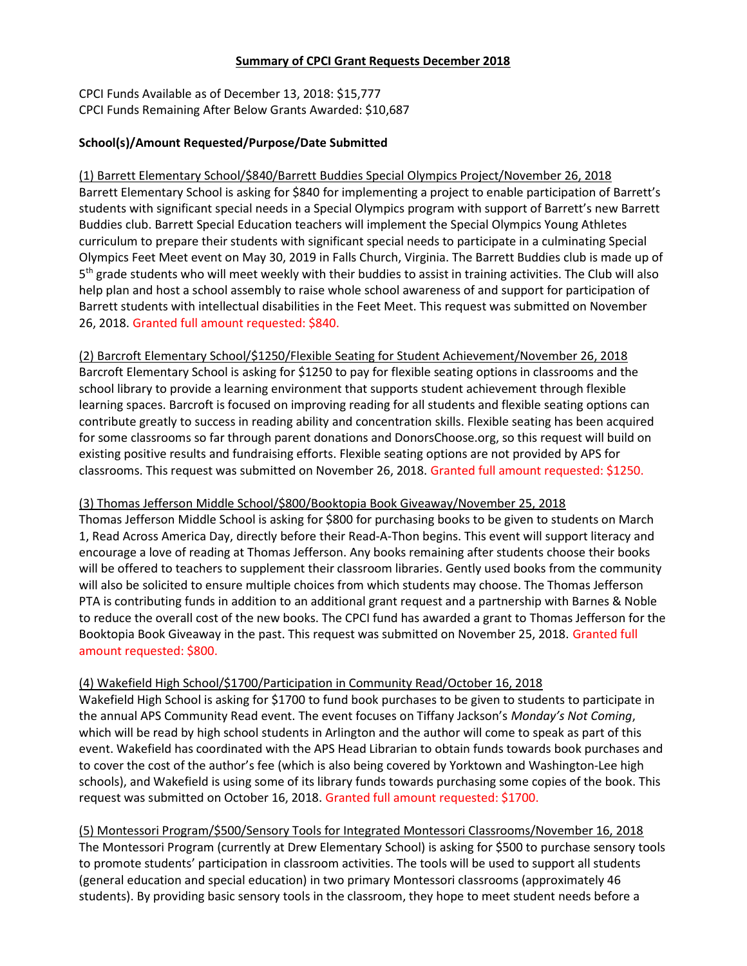#### Summary of CPCI Grant Requests December 2018

CPCI Funds Available as of December 13, 2018: \$15,777 CPCI Funds Remaining After Below Grants Awarded: \$10,687

# School(s)/Amount Requested/Purpose/Date Submitted

(1) Barrett Elementary School/\$840/Barrett Buddies Special Olympics Project/November 26, 2018 Barrett Elementary School is asking for \$840 for implementing a project to enable participation of Barrett's students with significant special needs in a Special Olympics program with support of Barrett's new Barrett Buddies club. Barrett Special Education teachers will implement the Special Olympics Young Athletes curriculum to prepare their students with significant special needs to participate in a culminating Special Olympics Feet Meet event on May 30, 2019 in Falls Church, Virginia. The Barrett Buddies club is made up of 5<sup>th</sup> grade students who will meet weekly with their buddies to assist in training activities. The Club will also help plan and host a school assembly to raise whole school awareness of and support for participation of Barrett students with intellectual disabilities in the Feet Meet. This request was submitted on November 26, 2018. Granted full amount requested: \$840.

(2) Barcroft Elementary School/\$1250/Flexible Seating for Student Achievement/November 26, 2018 Barcroft Elementary School is asking for \$1250 to pay for flexible seating options in classrooms and the school library to provide a learning environment that supports student achievement through flexible learning spaces. Barcroft is focused on improving reading for all students and flexible seating options can contribute greatly to success in reading ability and concentration skills. Flexible seating has been acquired for some classrooms so far through parent donations and DonorsChoose.org, so this request will build on existing positive results and fundraising efforts. Flexible seating options are not provided by APS for classrooms. This request was submitted on November 26, 2018. Granted full amount requested: \$1250.

## (3) Thomas Jefferson Middle School/\$800/Booktopia Book Giveaway/November 25, 2018

Thomas Jefferson Middle School is asking for \$800 for purchasing books to be given to students on March 1, Read Across America Day, directly before their Read-A-Thon begins. This event will support literacy and encourage a love of reading at Thomas Jefferson. Any books remaining after students choose their books will be offered to teachers to supplement their classroom libraries. Gently used books from the community will also be solicited to ensure multiple choices from which students may choose. The Thomas Jefferson PTA is contributing funds in addition to an additional grant request and a partnership with Barnes & Noble to reduce the overall cost of the new books. The CPCI fund has awarded a grant to Thomas Jefferson for the Booktopia Book Giveaway in the past. This request was submitted on November 25, 2018. Granted full amount requested: \$800.

## (4) Wakefield High School/\$1700/Participation in Community Read/October 16, 2018

Wakefield High School is asking for \$1700 to fund book purchases to be given to students to participate in the annual APS Community Read event. The event focuses on Tiffany Jackson's Monday's Not Coming, which will be read by high school students in Arlington and the author will come to speak as part of this event. Wakefield has coordinated with the APS Head Librarian to obtain funds towards book purchases and to cover the cost of the author's fee (which is also being covered by Yorktown and Washington-Lee high schools), and Wakefield is using some of its library funds towards purchasing some copies of the book. This request was submitted on October 16, 2018. Granted full amount requested: \$1700.

(5) Montessori Program/\$500/Sensory Tools for Integrated Montessori Classrooms/November 16, 2018 The Montessori Program (currently at Drew Elementary School) is asking for \$500 to purchase sensory tools to promote students' participation in classroom activities. The tools will be used to support all students (general education and special education) in two primary Montessori classrooms (approximately 46 students). By providing basic sensory tools in the classroom, they hope to meet student needs before a